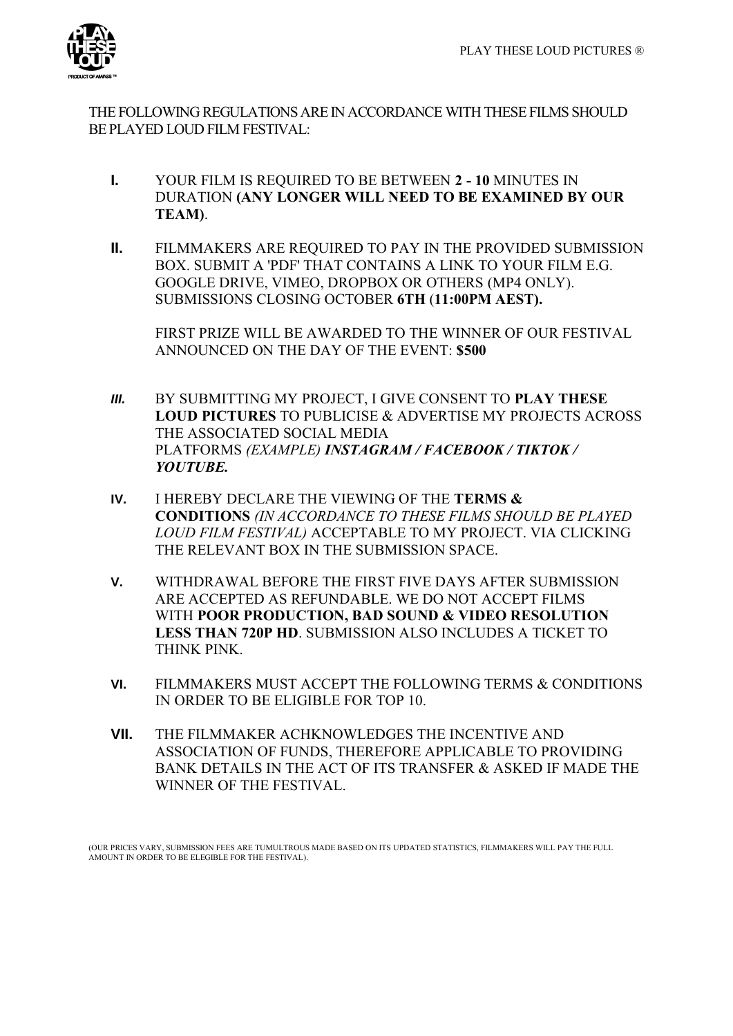

THE FOLLOWING REGULATIONS ARE IN ACCORDANCE WITH THESE FILMS SHOULD BE PLAYED LOUD FILM FESTIVAL:

- **I.** YOUR FILM IS REQUIRED TO BE BETWEEN **2 - 10** MINUTES IN DURATION **(ANY LONGER WILL NEED TO BE EXAMINED BY OUR TEAM)**.
- **II.** FILMMAKERS ARE REQUIRED TO PAY IN THE PROVIDED SUBMISSION BOX. SUBMIT A 'PDF' THAT CONTAINS A LINK TO YOUR FILM E.G. GOOGLE DRIVE, VIMEO, DROPBOX OR OTHERS (MP4 ONLY). SUBMISSIONS CLOSING OCTOBER **6TH** (**11:00PM AEST).**

FIRST PRIZE WILL BE AWARDED TO THE WINNER OF OUR FESTIVAL ANNOUNCED ON THE DAY OF THE EVENT: **\$500**

- *III.* BY SUBMITTING MY PROJECT, I GIVE CONSENT TO **PLAY THESE LOUD PICTURES** TO PUBLICISE & ADVERTISE MY PROJECTS ACROSS THE ASSOCIATED SOCIAL MEDIA PLATFORMS *(EXAMPLE) INSTAGRAM / FACEBOOK / TIKTOK / YOUTUBE.*
- **IV.** I HEREBY DECLARE THE VIEWING OF THE **TERMS & CONDITIONS** *(IN ACCORDANCE TO THESE FILMS SHOULD BE PLAYED LOUD FILM FESTIVAL)* ACCEPTABLE TO MY PROJECT. VIA CLICKING THE RELEVANT BOX IN THE SUBMISSION SPACE.
- **V.** WITHDRAWAL BEFORE THE FIRST FIVE DAYS AFTER SUBMISSION ARE ACCEPTED AS REFUNDABLE. WE DO NOT ACCEPT FILMS WITH **POOR PRODUCTION, BAD SOUND & VIDEO RESOLUTION LESS THAN 720P HD**. SUBMISSION ALSO INCLUDES A TICKET TO THINK PINK.
- **VI.** FILMMAKERS MUST ACCEPT THE FOLLOWING TERMS & CONDITIONS IN ORDER TO BE ELIGIBLE FOR TOP 10.
- **VII.** THE FILMMAKER ACHKNOWLEDGES THE INCENTIVE AND ASSOCIATION OF FUNDS, THEREFORE APPLICABLE TO PROVIDING BANK DETAILS IN THE ACT OF ITS TRANSFER & ASKED IF MADE THE WINNER OF THE FESTIVAL.

(OUR PRICES VARY, SUBMISSION FEES ARE TUMULTROUS MADE BASED ON ITS UPDATED STATISTICS, FILMMAKERS WILL PAY THE FULL AMOUNT IN ORDER TO BE ELEGIBLE FOR THE FESTIVAL).